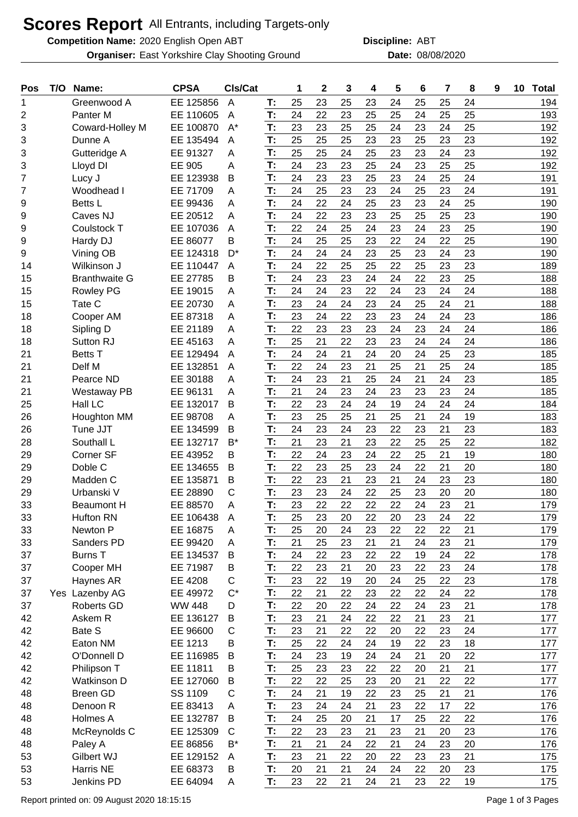## **Scores Report** All Entrants, including Targets-only

**Competition Name:** 2020 English Open ABT **ABT Discipline:** ABT

**Organiser:** East Yorkshire Clay Shooting Ground **Date:** 08/08/2020

**Discipline:**

| Pos | T/O | Name:                | <b>CPSA</b>   | CIs/Cat      |    | 1  | $\mathbf{2}$ | 3        | 4  | 5  | 6  | 7  | 8  | 9 | 10 | <b>Total</b> |
|-----|-----|----------------------|---------------|--------------|----|----|--------------|----------|----|----|----|----|----|---|----|--------------|
| 1   |     | Greenwood A          | EE 125856     | A            | T: | 25 | 23           | 25       | 23 | 24 | 25 | 25 | 24 |   |    | 194          |
| 2   |     | Panter <sub>M</sub>  | EE 110605     | A            | T: | 24 | 22           | 23       | 25 | 25 | 24 | 25 | 25 |   |    | 193          |
| 3   |     | Coward-Holley M      | EE 100870     | $A^*$        | T: | 23 | 23           | 25       | 25 | 24 | 23 | 24 | 25 |   |    | 192          |
| 3   |     | Dunne A              | EE 135494     | A            | T: | 25 | 25           | 25       | 23 | 23 | 25 | 23 | 23 |   |    | 192          |
| 3   |     | Gutteridge A         | EE 91327      | Α            | T: | 25 | 25           | 24       | 25 | 23 | 23 | 24 | 23 |   |    | 192          |
| 3   |     | Lloyd DI             | <b>EE 905</b> | Α            | T: | 24 | 23           | 23       | 25 | 24 | 23 | 25 | 25 |   |    | 192          |
| 7   |     | Lucy J               | EE 123938     | B            | T: | 24 | 23           | 23       | 25 | 23 | 24 | 25 | 24 |   |    | 191          |
| 7   |     | Woodhead I           | EE 71709      | A            | T: | 24 | 25           | 23       | 23 | 24 | 25 | 23 | 24 |   |    | 191          |
| 9   |     | <b>Betts L</b>       | EE 99436      | A            | T: | 24 | 22           | 24       | 25 | 23 | 23 | 24 | 25 |   |    | 190          |
| 9   |     | Caves NJ             | EE 20512      | A            | T: | 24 | 22           | 23       | 23 | 25 | 25 | 25 | 23 |   |    | 190          |
| 9   |     | Coulstock T          | EE 107036     | A            | T: | 22 | 24           | 25       | 24 | 23 | 24 | 23 | 25 |   |    | 190          |
| 9   |     | Hardy DJ             | EE 86077      | B            | T: | 24 | 25           | 25       | 23 | 22 | 24 | 22 | 25 |   |    | 190          |
| 9   |     | Vining OB            | EE 124318     | D*           | T: | 24 | 24           | 24       | 23 | 25 | 23 | 24 | 23 |   |    | 190          |
| 14  |     | Wilkinson J          | EE 110447     | Α            | T: | 24 | 22           | 25       | 25 | 22 | 25 | 23 | 23 |   |    | 189          |
| 15  |     | <b>Branthwaite G</b> | EE 27785      | В            | T: | 24 | 23           | 23       | 24 | 24 | 22 | 23 | 25 |   |    | 188          |
| 15  |     | <b>Rowley PG</b>     | EE 19015      | A            | T: | 24 | 24           | 23       | 22 | 24 | 23 | 24 | 24 |   |    | 188          |
| 15  |     | Tate C               | EE 20730      | A            | T: | 23 | 24           | 24       | 23 | 24 | 25 | 24 | 21 |   |    | 188          |
| 18  |     | Cooper AM            | EE 87318      | A            | T: | 23 | 24           | 22       | 23 | 23 | 24 | 24 | 23 |   |    | 186          |
| 18  |     | Sipling D            | EE 21189      | A            | T: | 22 | 23           | 23       | 23 | 24 | 23 | 24 | 24 |   |    | 186          |
| 18  |     | Sutton RJ            | EE 45163      | A            | T: | 25 | 21           | 22       | 23 | 23 | 24 | 24 | 24 |   |    | 186          |
| 21  |     | <b>Betts T</b>       | EE 129494     | A            | T: | 24 | 24           | 21       | 24 | 20 | 24 | 25 | 23 |   |    | 185          |
| 21  |     | Delf M               | EE 132851     | A            | T: | 22 | 24           | 23       | 21 | 25 | 21 | 25 | 24 |   |    | 185          |
| 21  |     | Pearce ND            | EE 30188      | Α            | T: | 24 | 23           | 21       | 25 | 24 | 21 | 24 | 23 |   |    | 185          |
| 21  |     | <b>Westaway PB</b>   | EE 96131      | A            | T: | 21 | 24           | 23       | 24 | 23 | 23 | 23 | 24 |   |    | 185          |
| 25  |     | Hall LC              | EE 132017     | B            | T: | 22 | 23           | 24       | 24 | 19 | 24 | 24 | 24 |   |    | 184          |
| 26  |     | Houghton MM          | EE 98708      | A            | T: | 23 | 25           | 25       | 21 | 25 | 21 | 24 | 19 |   |    | 183          |
| 26  |     | Tune JJT             | EE 134599     | B            | T: | 24 | 23           | 24       | 23 | 22 | 23 | 21 | 23 |   |    | 183          |
| 28  |     | Southall L           | EE 132717     | $B^*$        | T: | 21 | 23           | 21       | 23 | 22 | 25 | 25 | 22 |   |    | 182          |
| 29  |     | Corner SF            | EE 43952      | B            | T: | 22 | 24           | 23       | 24 | 22 | 25 | 21 | 19 |   |    | 180          |
| 29  |     | Doble C              | EE 134655     | B            | T: | 22 | 23           | 25       | 23 | 24 | 22 | 21 | 20 |   |    | 180          |
| 29  |     | Madden C             | EE 135871     | B            | T: | 22 | 23           | 21       | 23 | 21 | 24 | 23 | 23 |   |    | 180          |
| 29  |     | Urbanski V           | EE 28890      | C            | T: | 23 | 23           | 24       | 22 | 25 | 23 | 20 | 20 |   |    | 180          |
| 33  |     | <b>Beaumont H</b>    | EE 88570      | A            | T: | 23 | 22           | 22       | 22 | 22 | 24 | 23 | 21 |   |    | 179          |
| 33  |     | <b>Hufton RN</b>     | EE 106438     | A            | Т: | 25 | 23           | 20       | 22 | 20 | 23 | 24 | 22 |   |    | 179          |
| 33  |     | Newton P             | EE 16875      | A            | T: | 25 | 20           | 24       | 23 | 22 | 22 | 22 | 21 |   |    | 179          |
| 33  |     | Sanders PD           | EE 99420      | A            | T: | 21 | 25           | 23       | 21 | 21 | 24 | 23 | 21 |   |    | 179          |
| 37  |     | <b>Burns T</b>       | EE 134537     | B            | T: | 24 | 22           | 23       | 22 | 22 | 19 | 24 | 22 |   |    | 178          |
| 37  |     | Cooper MH            | EE 71987      | B            | T: | 22 | 23           | 21       | 20 | 23 | 22 | 23 | 24 |   |    | 178          |
| 37  |     | Haynes AR            | EE 4208       | C            | T: | 23 | 22           | 19       | 20 | 24 | 25 | 22 | 23 |   |    | 178          |
| 37  |     | Yes Lazenby AG       | EE 49972      | $C^*$        | T: | 22 | 21           | 22       | 23 | 22 | 22 | 24 | 22 |   |    | 178          |
| 37  |     | Roberts GD           | <b>WW 448</b> | D            | T: | 22 | 20           | 22       | 24 | 22 | 24 | 23 | 21 |   |    | 178          |
| 42  |     | Askem R              | EE 136127     | B            | T: | 23 | 21           | 24       | 22 | 22 | 21 | 23 | 21 |   |    | 177          |
| 42  |     | Bate S               | EE 96600      | $\mathsf{C}$ | T: | 23 | 21           | 22       | 22 | 20 | 22 | 23 | 24 |   |    | 177          |
| 42  |     | Eaton NM             | EE 1213       | B            | T: | 25 | 22           | 24       | 24 | 19 | 22 | 23 | 18 |   |    | 177          |
| 42  |     | O'Donnell D          | EE 116985     | B            | T: | 24 | 23           | 19       | 24 | 24 | 21 | 20 | 22 |   |    | 177          |
| 42  |     | Philipson T          | EE 11811      | B            | T: | 25 | 23           | 23       | 22 | 22 | 20 | 21 | 21 |   |    | 177          |
| 42  |     | Watkinson D          | EE 127060     | B            | T: | 22 | 22           | 25       | 23 | 20 | 21 | 22 | 22 |   |    | 177          |
| 48  |     | <b>Breen GD</b>      | SS 1109       | $\mathsf{C}$ | T: | 24 | 21           | 19       | 22 | 23 | 25 | 21 | 21 |   |    | 176          |
| 48  |     | Denoon R             | EE 83413      | A            | T: | 23 | 24           | 24       | 21 | 23 | 22 | 17 | 22 |   |    | 176          |
| 48  |     | Holmes A             | EE 132787     | B            | T: | 24 | 25           | 20       | 21 | 17 | 25 | 22 | 22 |   |    | 176          |
|     |     |                      |               | $\mathsf{C}$ | T: | 22 | 23           |          | 21 | 23 | 21 | 20 |    |   |    |              |
| 48  |     | McReynolds C         | EE 125309     | B*           | T: |    |              | 23       | 22 |    |    |    | 23 |   |    | 176          |
| 48  |     | Paley A              | EE 86856      |              |    | 21 | 21           | 24<br>22 |    | 21 | 24 | 23 | 20 |   |    | 176          |
| 53  |     | Gilbert WJ           | EE 129152     | Α            | T: | 23 | 21           |          | 20 | 22 | 23 | 23 | 21 |   |    | 175          |
| 53  |     | Harris NE            | EE 68373      | B            | T: | 20 | 21           | 21       | 24 | 24 | 22 | 20 | 23 |   |    | 175          |
| 53  |     | Jenkins PD           | EE 64094      | A            | T: | 23 | 22           | 21       | 24 | 21 | 23 | 22 | 19 |   |    | 175          |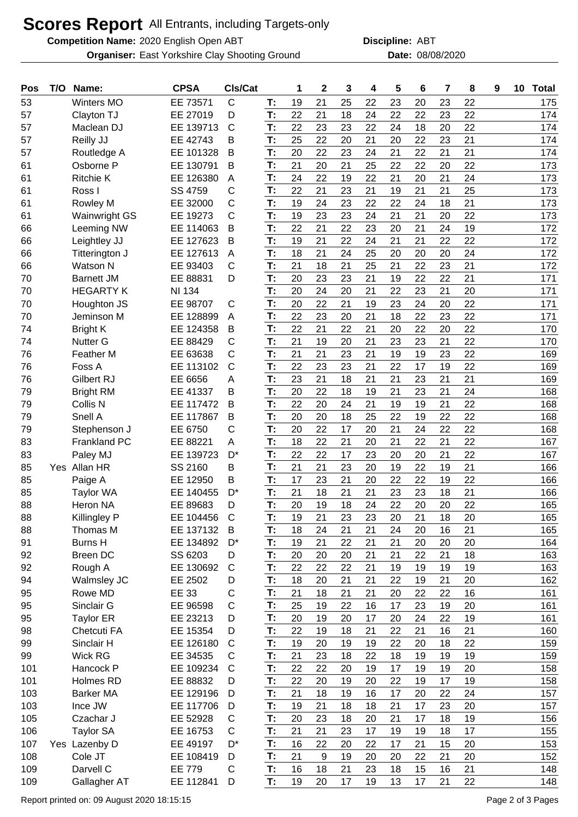## **Scores Report** All Entrants, including Targets-only

**Competition Name:** 2020 English Open ABT **ABT Discipline:** ABT

**Organiser:** East Yorkshire Clay Shooting Ground **Date:** 08/08/2020

**Discipline:**

| Pos | T/O | Name:                | <b>CPSA</b>   | CIs/Cat      |    | 1  | $\mathbf 2$ | 3  | 4  | 5  | 6  | 7  | 8  | 9 | 10 | <b>Total</b> |
|-----|-----|----------------------|---------------|--------------|----|----|-------------|----|----|----|----|----|----|---|----|--------------|
| 53  |     | <b>Winters MO</b>    | EE 73571      | $\mathsf C$  | T: | 19 | 21          | 25 | 22 | 23 | 20 | 23 | 22 |   |    | 175          |
| 57  |     | Clayton TJ           | EE 27019      | D            | T: | 22 | 21          | 18 | 24 | 22 | 22 | 23 | 22 |   |    | 174          |
| 57  |     | Maclean DJ           | EE 139713     | $\mathsf{C}$ | T: | 22 | 23          | 23 | 22 | 24 | 18 | 20 | 22 |   |    | 174          |
| 57  |     | Reilly JJ            | EE 42743      | в            | T: | 25 | 22          | 20 | 21 | 20 | 22 | 23 | 21 |   |    | 174          |
| 57  |     | Routledge A          | EE 101328     | B            | T: | 20 | 22          | 23 | 24 | 21 | 22 | 21 | 21 |   |    | 174          |
| 61  |     | Osborne P            | EE 130791     | Β            | T: | 21 | 20          | 21 | 25 | 22 | 22 | 20 | 22 |   |    | 173          |
| 61  |     | <b>Ritchie K</b>     | EE 126380     | A            | T: | 24 | 22          | 19 | 22 | 21 | 20 | 21 | 24 |   |    | 173          |
| 61  |     | Ross I               | SS 4759       | C            | T: | 22 | 21          | 23 | 21 | 19 | 21 | 21 | 25 |   |    | 173          |
| 61  |     | Rowley M             | EE 32000      | $\mathsf{C}$ | T: | 19 | 24          | 23 | 22 | 22 | 24 | 18 | 21 |   |    | 173          |
| 61  |     | <b>Wainwright GS</b> | EE 19273      | $\mathsf{C}$ | T: | 19 | 23          | 23 | 24 | 21 | 21 | 20 | 22 |   |    | 173          |
| 66  |     | Leeming NW           | EE 114063     | B            | T: | 22 | 21          | 22 | 23 | 20 | 21 | 24 | 19 |   |    | 172          |
| 66  |     | Leightley JJ         | EE 127623     | B            | T: | 19 | 21          | 22 | 24 | 21 | 21 | 22 | 22 |   |    | 172          |
| 66  |     | Titterington J       | EE 127613     | Α            | T: | 18 | 21          | 24 | 25 | 20 | 20 | 20 | 24 |   |    | 172          |
| 66  |     | Watson N             | EE 93403      | C            | T: | 21 | 18          | 21 | 25 | 21 | 22 | 23 | 21 |   |    | 172          |
| 70  |     | <b>Barnett JM</b>    | EE 88831      | D            | T: | 20 | 23          | 23 | 21 | 19 | 22 | 22 | 21 |   |    | 171          |
| 70  |     | <b>HEGARTY K</b>     | <b>NI 134</b> |              | T: | 20 | 24          | 20 | 21 | 22 | 23 | 21 | 20 |   |    | 171          |
| 70  |     | Houghton JS          | EE 98707      | $\mathsf{C}$ | T: | 20 | 22          | 21 | 19 | 23 | 24 | 20 | 22 |   |    | 171          |
| 70  |     | Jeminson M           | EE 128899     | A            | T: | 22 | 23          | 20 | 21 | 18 | 22 | 23 | 22 |   |    | 171          |
| 74  |     | <b>Bright K</b>      | EE 124358     | B            | T: | 22 | 21          | 22 | 21 | 20 | 22 | 20 | 22 |   |    | 170          |
| 74  |     | <b>Nutter G</b>      | EE 88429      | $\mathsf{C}$ | T: | 21 | 19          | 20 | 21 | 23 | 23 | 21 | 22 |   |    | 170          |
| 76  |     | Feather M            | EE 63638      | C            | T: | 21 | 21          | 23 | 21 | 19 | 19 | 23 | 22 |   |    | 169          |
| 76  |     | Foss A               | EE 113102     | $\mathsf{C}$ | T: | 22 | 23          | 23 | 21 | 22 | 17 | 19 | 22 |   |    | 169          |
| 76  |     | <b>Gilbert RJ</b>    | EE 6656       | A            | T: | 23 | 21          | 18 | 21 | 21 | 23 | 21 | 21 |   |    | 169          |
| 79  |     | <b>Bright RM</b>     | EE 41337      | B            | T: | 20 | 22          | 18 | 19 | 21 | 23 | 21 | 24 |   |    | 168          |
| 79  |     | Collis N             | EE 117472     | Β            | T: | 22 | 20          | 24 | 21 | 19 | 19 | 21 | 22 |   |    | 168          |
| 79  |     | Snell A              | EE 117867     | B            | T: | 20 | 20          | 18 | 25 | 22 | 19 | 22 | 22 |   |    | 168          |
| 79  |     | Stephenson J         | EE 6750       | $\mathsf{C}$ | T: | 20 | 22          | 17 | 20 | 21 | 24 | 22 | 22 |   |    | 168          |
| 83  |     | <b>Frankland PC</b>  | EE 88221      | A            | T: | 18 | 22          | 21 | 20 | 21 | 22 | 21 | 22 |   |    | 167          |
| 83  |     | Paley MJ             | EE 139723     | D*           | T: | 22 | 22          | 17 | 23 | 20 | 20 | 21 | 22 |   |    | 167          |
| 85  |     | Yes Allan HR         | SS 2160       | B            | T: | 21 | 21          | 23 | 20 | 19 | 22 | 19 | 21 |   |    | 166          |
| 85  |     | Paige A              | EE 12950      | B            | T: | 17 | 23          | 21 | 20 | 22 | 22 | 19 | 22 |   |    | 166          |
| 85  |     | <b>Taylor WA</b>     | EE 140455     | D*           | T: | 21 | 18          | 21 | 21 | 23 | 23 | 18 | 21 |   |    | 166          |
|     |     | <b>Heron NA</b>      | EE 89683      |              | T: | 20 | 19          | 18 | 24 | 22 | 20 | 20 | 22 |   |    | 165          |
| 88  |     |                      |               | D            |    |    |             |    |    |    |    |    |    |   |    |              |
| 88  |     | Killingley P         | EE 104456     | C            | T: | 19 | 21          | 23 | 23 | 20 | 21 | 18 | 20 |   |    | 165          |
| 88  |     | Thomas M             | EE 137132     | B            | T: | 18 | 24          | 21 | 21 | 24 | 20 | 16 | 21 |   |    | 165          |
| 91  |     | <b>Burns H</b>       | EE 134892     | $D^*$        | T: | 19 | 21          | 22 | 21 | 21 | 20 | 20 | 20 |   |    | 164          |
| 92  |     | <b>Breen DC</b>      | SS 6203       | D            | T: | 20 | 20          | 20 | 21 | 21 | 22 | 21 | 18 |   |    | 163          |
| 92  |     | Rough A              | EE 130692     | $\mathsf{C}$ | T: | 22 | 22          | 22 | 21 | 19 | 19 | 19 | 19 |   |    | 163          |
| 94  |     | Walmsley JC          | EE 2502       | D            | T: | 18 | 20          | 21 | 21 | 22 | 19 | 21 | 20 |   |    | 162          |
| 95  |     | Rowe MD              | <b>EE 33</b>  | C            | T: | 21 | 18          | 21 | 21 | 20 | 22 | 22 | 16 |   |    | 161          |
| 95  |     | Sinclair G           | EE 96598      | C            | T: | 25 | 19          | 22 | 16 | 17 | 23 | 19 | 20 |   |    | 161          |
| 95  |     | <b>Taylor ER</b>     | EE 23213      | D            | T: | 20 | 19          | 20 | 17 | 20 | 24 | 22 | 19 |   |    | 161          |
| 98  |     | Chetcuti FA          | EE 15354      | D            | T: | 22 | 19          | 18 | 21 | 22 | 21 | 16 | 21 |   |    | 160          |
| 99  |     | Sinclair H           | EE 126180     | $\mathsf{C}$ | T: | 19 | 20          | 19 | 19 | 22 | 20 | 18 | 22 |   |    | 159          |
| 99  |     | <b>Wick RG</b>       | EE 34535      | C            | T: | 21 | 23          | 18 | 22 | 18 | 19 | 19 | 19 |   |    | 159          |
| 101 |     | Hancock P            | EE 109234     | C            | T: | 22 | 22          | 20 | 19 | 17 | 19 | 19 | 20 |   |    | 158          |
| 101 |     | Holmes RD            | EE 88832      | D            | T: | 22 | 20          | 19 | 20 | 22 | 19 | 17 | 19 |   |    | 158          |
| 103 |     | <b>Barker MA</b>     | EE 129196     | D            | T: | 21 | 18          | 19 | 16 | 17 | 20 | 22 | 24 |   |    | 157          |
| 103 |     | Ince JW              | EE 117706     | D            | T: | 19 | 21          | 18 | 18 | 21 | 17 | 23 | 20 |   |    | 157          |
| 105 |     | Czachar J            | EE 52928      | C            | T: | 20 | 23          | 18 | 20 | 21 | 17 | 18 | 19 |   |    | 156          |
| 106 |     | <b>Taylor SA</b>     | EE 16753      | C            | T: | 21 | 21          | 23 | 17 | 19 | 19 | 18 | 17 |   |    | 155          |
| 107 |     | Yes Lazenby D        | EE 49197      | D*           | T: | 16 | 22          | 20 | 22 | 17 | 21 | 15 | 20 |   |    | 153          |
| 108 |     | Cole JT              | EE 108419     | D            | T: | 21 | 9           | 19 | 20 | 20 | 22 | 21 | 20 |   |    | 152          |
| 109 |     | Darvell C            | <b>EE 779</b> | C            | T: | 16 | 18          | 21 | 23 | 18 | 15 | 16 | 21 |   |    | 148          |
| 109 |     | Gallagher AT         | EE 112841     | D            | T: | 19 | 20          | 17 | 19 | 13 | 17 | 21 | 22 |   |    | 148          |